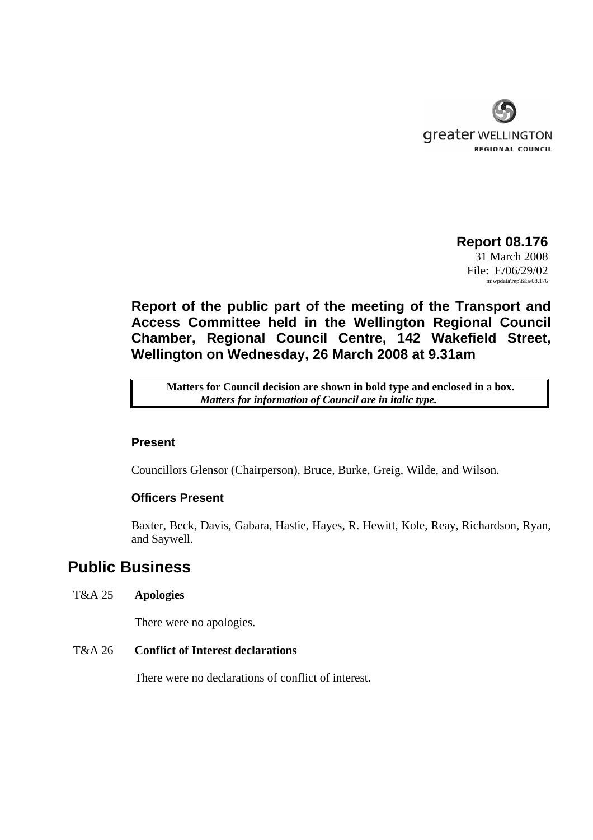

 **Report 08.176**  31 March 2008 File: E/06/29/02 m:wpdata\rep\t&a/08.176

**Report of the public part of the meeting of the Transport and Access Committee held in the Wellington Regional Council Chamber, Regional Council Centre, 142 Wakefield Street, Wellington on Wednesday, 26 March 2008 at 9.31am** 

**Matters for Council decision are shown in bold type and enclosed in a box.** *Matters for information of Council are in italic type.* 

## **Present**

Councillors Glensor (Chairperson), Bruce, Burke, Greig, Wilde, and Wilson.

# **Officers Present**

Baxter, Beck, Davis, Gabara, Hastie, Hayes, R. Hewitt, Kole, Reay, Richardson, Ryan, and Saywell.

# **Public Business**

# T&A 25 **Apologies**

There were no apologies.

# T&A 26 **Conflict of Interest declarations**

There were no declarations of conflict of interest.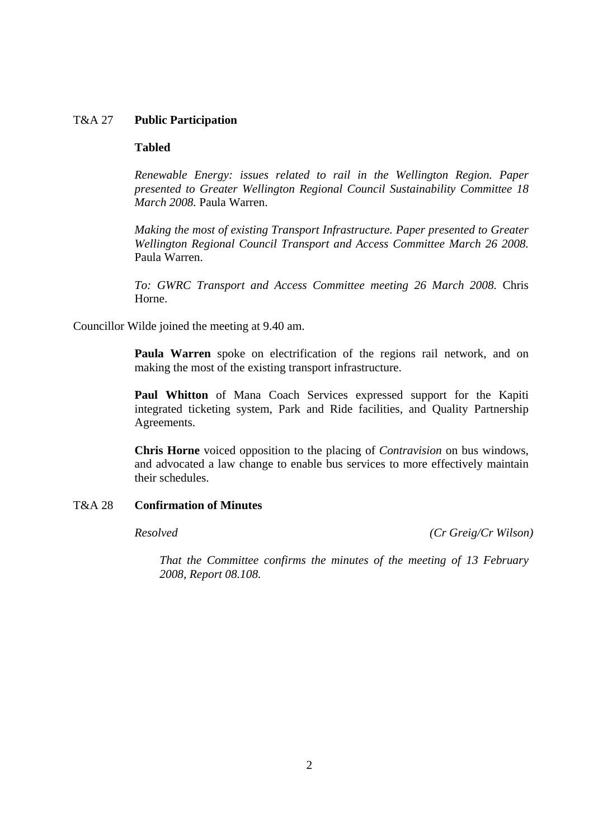# T&A 27 **Public Participation**

### **Tabled**

*Renewable Energy: issues related to rail in the Wellington Region. Paper presented to Greater Wellington Regional Council Sustainability Committee 18 March 2008.* Paula Warren.

*Making the most of existing Transport Infrastructure. Paper presented to Greater Wellington Regional Council Transport and Access Committee March 26 2008.*  Paula Warren.

*To: GWRC Transport and Access Committee meeting 26 March 2008.* Chris Horne.

Councillor Wilde joined the meeting at 9.40 am.

**Paula Warren** spoke on electrification of the regions rail network, and on making the most of the existing transport infrastructure.

**Paul Whitton** of Mana Coach Services expressed support for the Kapiti integrated ticketing system, Park and Ride facilities, and Quality Partnership Agreements.

**Chris Horne** voiced opposition to the placing of *Contravision* on bus windows, and advocated a law change to enable bus services to more effectively maintain their schedules.

# T&A 28 **Confirmation of Minutes**

*Resolved (Cr Greig/Cr Wilson)*

*That the Committee confirms the minutes of the meeting of 13 February 2008, Report 08.108.*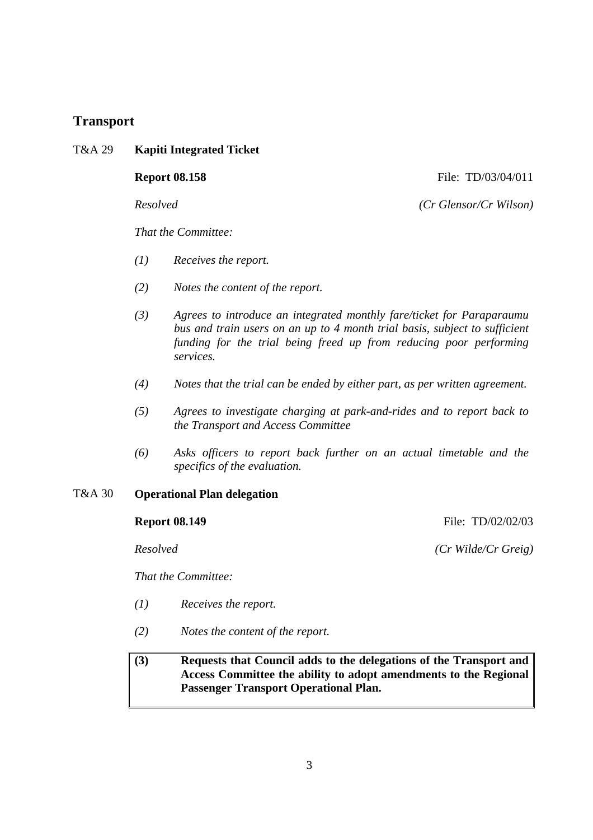# **Transport**

T&A 29 **Kapiti Integrated Ticket** 

**Report 08.158 File: TD/03/04/011** 

*Resolved (Cr Glensor/Cr Wilson)*

*That the Committee:* 

- *(1) Receives the report.*
- *(2) Notes the content of the report.*
- *(3) Agrees to introduce an integrated monthly fare/ticket for Paraparaumu bus and train users on an up to 4 month trial basis, subject to sufficient funding for the trial being freed up from reducing poor performing services.*
- *(4) Notes that the trial can be ended by either part, as per written agreement.*
- *(5) Agrees to investigate charging at park-and-rides and to report back to the Transport and Access Committee*
- *(6) Asks officers to report back further on an actual timetable and the specifics of the evaluation.*

### T&A 30 **Operational Plan delegation**

### **Report 08.149 File: TD/02/02/03**

*That the Committee:* 

- *(1) Receives the report.*
- *(2) Notes the content of the report.*

# **(3) Requests that Council adds to the delegations of the Transport and Access Committee the ability to adopt amendments to the Regional Passenger Transport Operational Plan.**

*Resolved (Cr Wilde/Cr Greig)*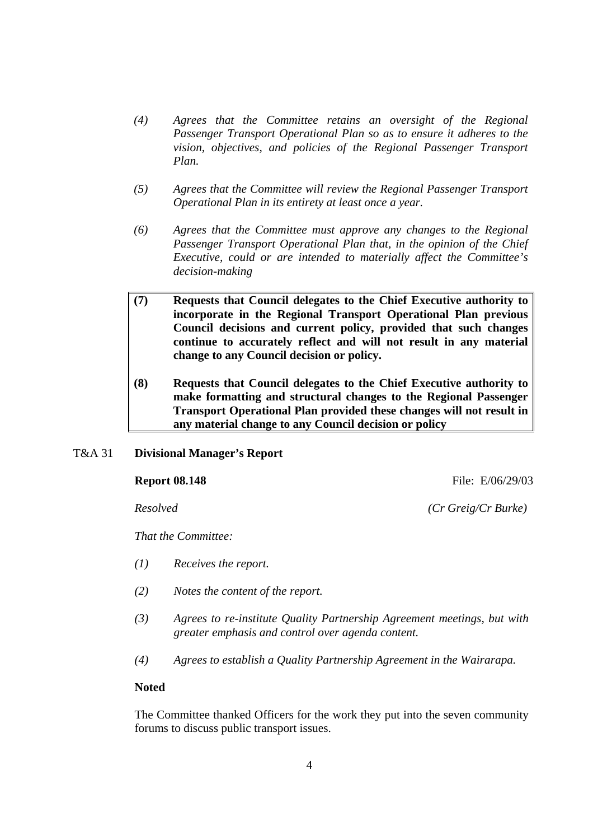- *(4) Agrees that the Committee retains an oversight of the Regional Passenger Transport Operational Plan so as to ensure it adheres to the vision, objectives, and policies of the Regional Passenger Transport Plan.*
- *(5) Agrees that the Committee will review the Regional Passenger Transport Operational Plan in its entirety at least once a year.*
- *(6) Agrees that the Committee must approve any changes to the Regional Passenger Transport Operational Plan that, in the opinion of the Chief Executive, could or are intended to materially affect the Committee's decision-making*
- **(7) Requests that Council delegates to the Chief Executive authority to incorporate in the Regional Transport Operational Plan previous Council decisions and current policy, provided that such changes continue to accurately reflect and will not result in any material change to any Council decision or policy.**
- **(8) Requests that Council delegates to the Chief Executive authority to make formatting and structural changes to the Regional Passenger Transport Operational Plan provided these changes will not result in any material change to any Council decision or policy**
- T&A 31 **Divisional Manager's Report**

**Report 08.148 File: E/06/29/03** 

*Resolved (Cr Greig/Cr Burke)*

*That the Committee:* 

- *(1) Receives the report.*
- *(2) Notes the content of the report.*
- *(3) Agrees to re-institute Quality Partnership Agreement meetings, but with greater emphasis and control over agenda content.*
- *(4) Agrees to establish a Quality Partnership Agreement in the Wairarapa.*

### **Noted**

The Committee thanked Officers for the work they put into the seven community forums to discuss public transport issues.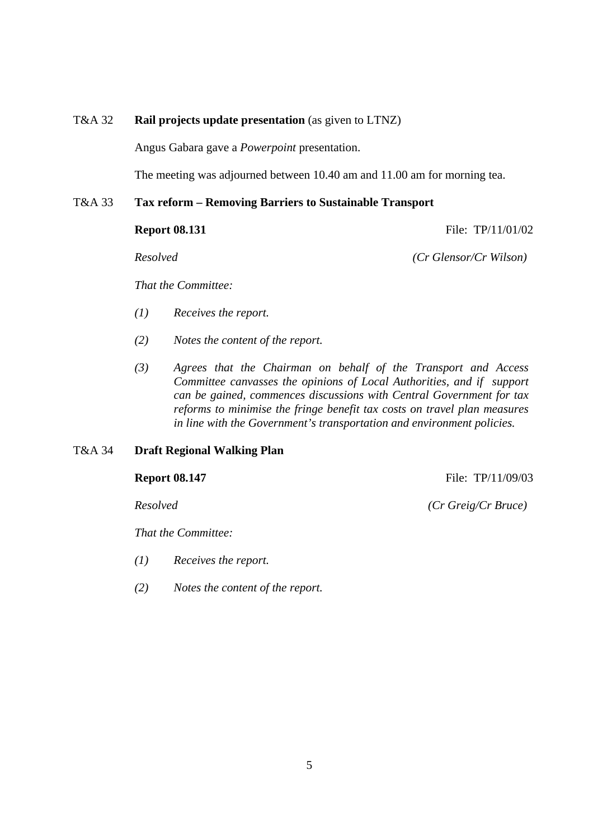# T&A 32 **Rail projects update presentation** (as given to LTNZ)

Angus Gabara gave a *Powerpoint* presentation.

The meeting was adjourned between 10.40 am and 11.00 am for morning tea.

#### T&A 33 **Tax reform – Removing Barriers to Sustainable Transport**

**Report 08.131 File: TP/11/01/02** 

*Resolved (Cr Glensor/Cr Wilson)*

*That the Committee:* 

- *(1) Receives the report.*
- *(2) Notes the content of the report.*
- *(3) Agrees that the Chairman on behalf of the Transport and Access Committee canvasses the opinions of Local Authorities, and if support can be gained, commences discussions with Central Government for tax reforms to minimise the fringe benefit tax costs on travel plan measures in line with the Government's transportation and environment policies.*

### T&A 34 **Draft Regional Walking Plan**

**Report 08.147 File: TP**/11/09/03

*Resolved (Cr Greig/Cr Bruce)*

*That the Committee:* 

- *(1) Receives the report.*
- *(2) Notes the content of the report.*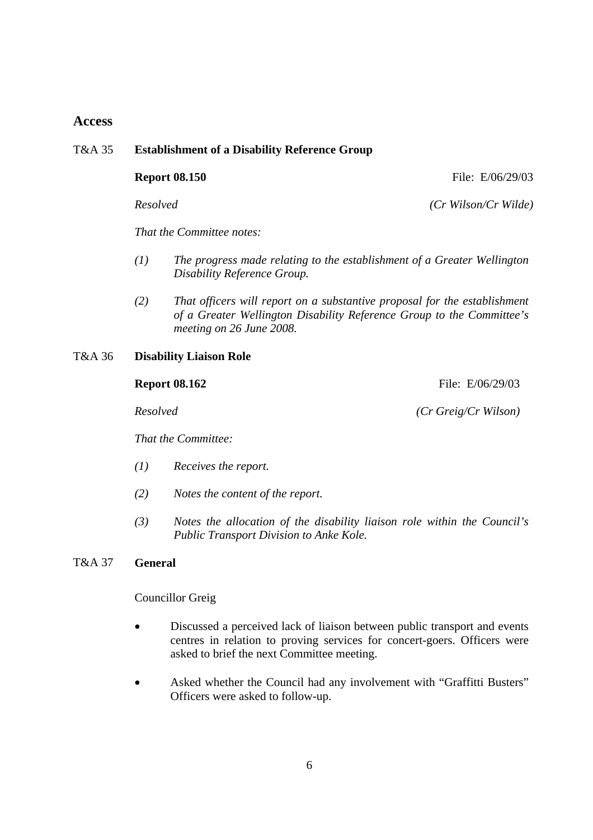# **Access**

# T&A 35 **Establishment of a Disability Reference Group**

**Report 08.150 File: E/06/29/03** 

*Resolved (Cr Wilson/Cr Wilde)*

*That the Committee notes:* 

- *(1) The progress made relating to the establishment of a Greater Wellington Disability Reference Group.*
- *(2) That officers will report on a substantive proposal for the establishment of a Greater Wellington Disability Reference Group to the Committee's meeting on 26 June 2008.*

T&A 36 **Disability Liaison Role** 

#### **Report 08.162** File: E/06/29/03

*That the Committee:* 

- *(1) Receives the report.*
- *(2) Notes the content of the report.*
- *(3) Notes the allocation of the disability liaison role within the Council's Public Transport Division to Anke Kole.*

# T&A 37 **General**

### Councillor Greig

- Discussed a perceived lack of liaison between public transport and events centres in relation to proving services for concert-goers. Officers were asked to brief the next Committee meeting.
- Asked whether the Council had any involvement with "Graffitti Busters" Officers were asked to follow-up.

*Resolved (Cr Greig/Cr Wilson)*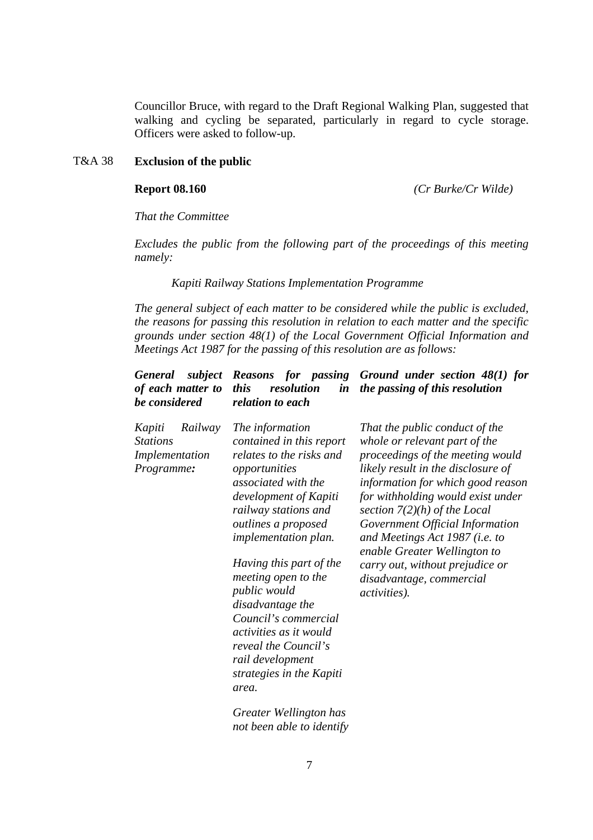Councillor Bruce, with regard to the Draft Regional Walking Plan, suggested that walking and cycling be separated, particularly in regard to cycle storage. Officers were asked to follow-up.

# T&A 38 **Exclusion of the public**

**Report 08.160** *(Cr Burke/Cr Wilde)*

*That the Committee* 

*Excludes the public from the following part of the proceedings of this meeting namely:* 

#### *Kapiti Railway Stations Implementation Programme*

*The general subject of each matter to be considered while the public is excluded, the reasons for passing this resolution in relation to each matter and the specific grounds under section 48(1) of the Local Government Official Information and Meetings Act 1987 for the passing of this resolution are as follows:* 

| subject<br><b>General</b><br>of each matter to<br>be considered      | this<br>resolution<br>$\boldsymbol{i}$ n<br>relation to each                                                                                                                                                                                                                                                                                                                                                                                                  | <b>Reasons</b> for passing Ground under section 48(1) for<br>the passing of this resolution                                                                                                                                                                                                                                                                                                                                               |
|----------------------------------------------------------------------|---------------------------------------------------------------------------------------------------------------------------------------------------------------------------------------------------------------------------------------------------------------------------------------------------------------------------------------------------------------------------------------------------------------------------------------------------------------|-------------------------------------------------------------------------------------------------------------------------------------------------------------------------------------------------------------------------------------------------------------------------------------------------------------------------------------------------------------------------------------------------------------------------------------------|
| Kapiti<br>Railway<br><b>Stations</b><br>Implementation<br>Programme: | The information<br>contained in this report<br>relates to the risks and<br>opportunities<br>associated with the<br>development of Kapiti<br>railway stations and<br><i>outlines a proposed</i><br><i>implementation plan.</i><br>Having this part of the<br>meeting open to the<br><i>public</i> would<br>disadvantage the<br>Council's commercial<br>activities as it would<br>reveal the Council's<br>rail development<br>strategies in the Kapiti<br>area. | That the public conduct of the<br>whole or relevant part of the<br>proceedings of the meeting would<br>likely result in the disclosure of<br>information for which good reason<br>for withholding would exist under<br>section $7(2)(h)$ of the Local<br>Government Official Information<br>and Meetings Act 1987 (i.e. to<br>enable Greater Wellington to<br>carry out, without prejudice or<br>disadvantage, commercial<br>activities). |
|                                                                      | $C_{\text{max}}$ and so $W_1 W_2 W_3$ and $L_{\text{max}}$                                                                                                                                                                                                                                                                                                                                                                                                    |                                                                                                                                                                                                                                                                                                                                                                                                                                           |

*Greater Wellington has not been able to identify*